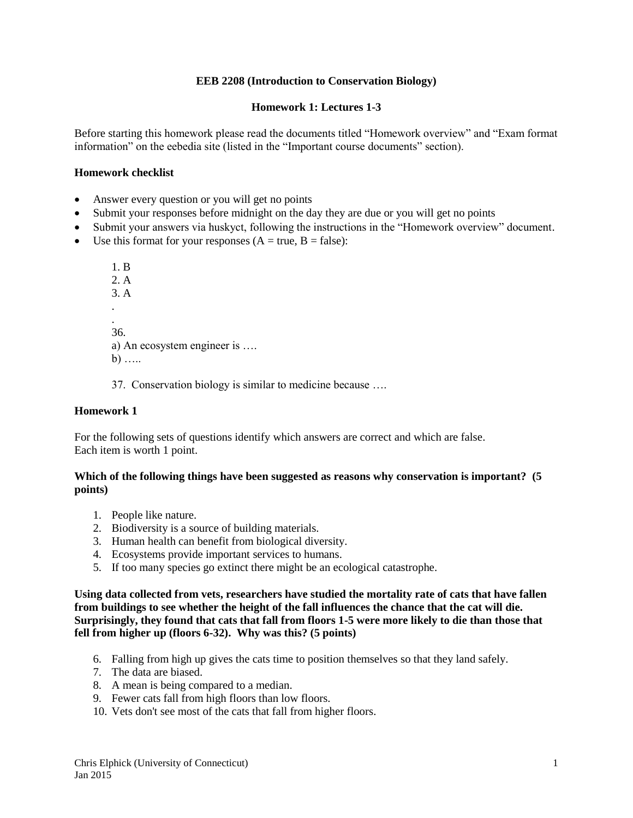## **EEB 2208 (Introduction to Conservation Biology)**

# **Homework 1: Lectures 1-3**

Before starting this homework please read the documents titled "Homework overview" and "Exam format information" on the eebedia site (listed in the "Important course documents" section).

## **Homework checklist**

- Answer every question or you will get no points
- Submit your responses before midnight on the day they are due or you will get no points
- Submit your answers via huskyct, following the instructions in the "Homework overview" document.
- Use this format for your responses  $(A = true, B = false)$ :

1. B 2. A 3. A . . 36. a) An ecosystem engineer is ….  $b)$  .....

37. Conservation biology is similar to medicine because ….

# **Homework 1**

For the following sets of questions identify which answers are correct and which are false. Each item is worth 1 point.

## **Which of the following things have been suggested as reasons why conservation is important? (5 points)**

- 1. People like nature.
- 2. Biodiversity is a source of building materials.
- 3. Human health can benefit from biological diversity.
- 4. Ecosystems provide important services to humans.
- 5. If too many species go extinct there might be an ecological catastrophe.

**Using data collected from vets, researchers have studied the mortality rate of cats that have fallen from buildings to see whether the height of the fall influences the chance that the cat will die. Surprisingly, they found that cats that fall from floors 1-5 were more likely to die than those that fell from higher up (floors 6-32). Why was this? (5 points)**

- 6. Falling from high up gives the cats time to position themselves so that they land safely.
- 7. The data are biased.
- 8. A mean is being compared to a median.
- 9. Fewer cats fall from high floors than low floors.
- 10. Vets don't see most of the cats that fall from higher floors.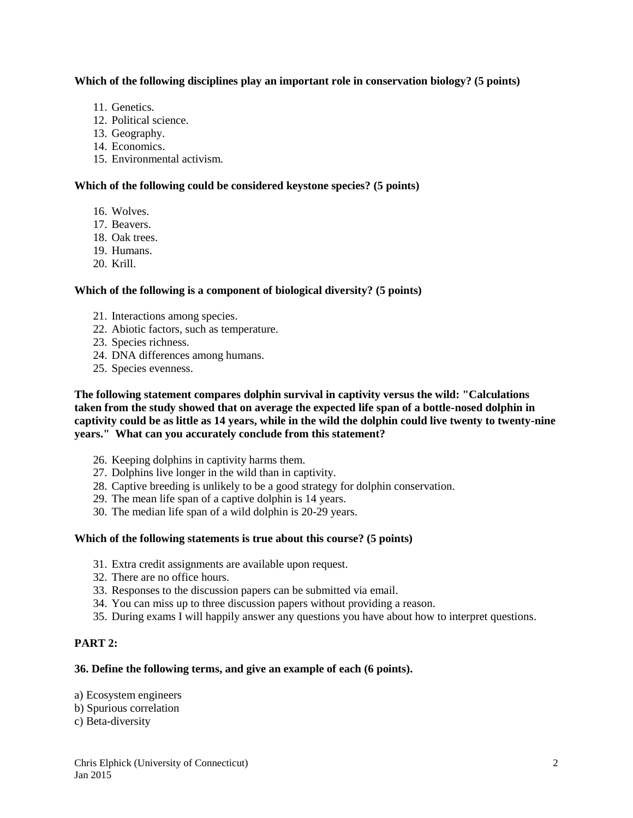## **Which of the following disciplines play an important role in conservation biology? (5 points)**

- 11. Genetics.
- 12. Political science.
- 13. Geography.
- 14. Economics.
- 15. Environmental activism.

## **Which of the following could be considered keystone species? (5 points)**

- 16. Wolves.
- 17. Beavers.
- 18. Oak trees.
- 19. Humans.
- 20. Krill.

# **Which of the following is a component of biological diversity? (5 points)**

- 21. Interactions among species.
- 22. Abiotic factors, such as temperature.
- 23. Species richness.
- 24. DNA differences among humans.
- 25. Species evenness.

**The following statement compares dolphin survival in captivity versus the wild: "Calculations taken from the study showed that on average the expected life span of a bottle-nosed dolphin in captivity could be as little as 14 years, while in the wild the dolphin could live twenty to twenty-nine years." What can you accurately conclude from this statement?**

- 26. Keeping dolphins in captivity harms them.
- 27. Dolphins live longer in the wild than in captivity.
- 28. Captive breeding is unlikely to be a good strategy for dolphin conservation.
- 29. The mean life span of a captive dolphin is 14 years.
- 30. The median life span of a wild dolphin is 20-29 years.

#### **Which of the following statements is true about this course? (5 points)**

- 31. Extra credit assignments are available upon request.
- 32. There are no office hours.
- 33. Responses to the discussion papers can be submitted via email.
- 34. You can miss up to three discussion papers without providing a reason.
- 35. During exams I will happily answer any questions you have about how to interpret questions.

# **PART 2:**

#### **36. Define the following terms, and give an example of each (6 points).**

- a) Ecosystem engineers
- b) Spurious correlation
- c) Beta-diversity